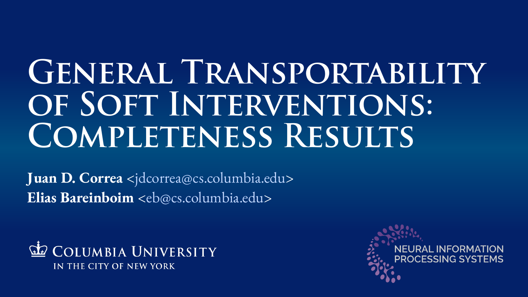# **GENERAL TRANSPORTABILITY** OF SOFT INTERVENTIONS: **Completeness Results**

**Juan D. Correa** <jdcorrea@cs.columbia.edu> **Elias Bareinboim** <eb@cs.columbia.edu>



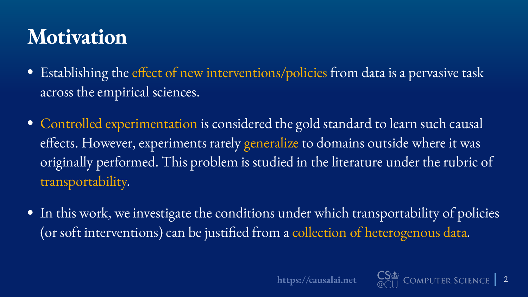#### **Motivation**

- across the empirical sciences.
- transportability.
- 

• Establishing the effect of new interventions/policies from data is a pervasive task

• Controlled experimentation is considered the gold standard to learn such causal efects. However, experiments rarely generalize to domains outside where it was originally performed. This problem is studied in the literature under the rubric of

• In this work, we investigate the conditions under which transportability of policies (or soft interventions) can be justifed from a collection of heterogenous data.





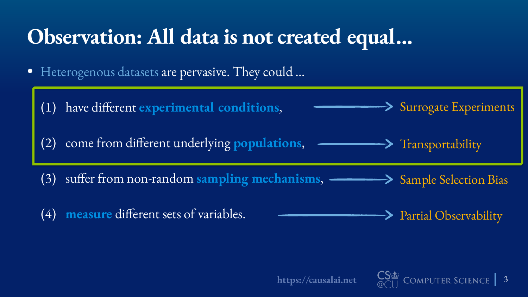$\frac{1}{\omega} \sum_{i=1}^{N}$  COMPUTER SCIENCE | 3















### **Observation: All data is not created equal…**

- Heterogenous datasets are pervasive. They could …
	- (1) have diferent **experimental conditions**,
	-
	- (3) sufer from non-random **sampling mechanisms**, Sample Selection Bias
	- (4) **measure** diferent sets of variables.



#### Partial Observability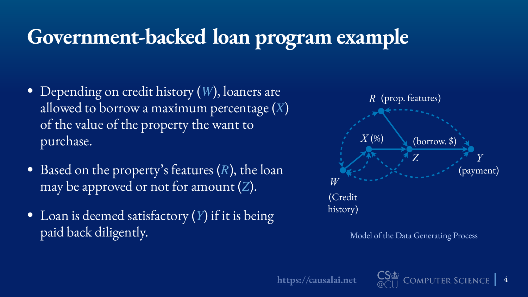CSE COMPUTER SCIENCE | 4

# **Government-backed loan program example**

- Depending on credit history (W), loaners are allowed to borrow a maximum percentage (X) of the value of the property the want to purchase.
- Based on the property's features (R), the loan may be approved or not for amount (Z).
- Loan is deemed satisfactory (Y) if it is being paid back diligently.

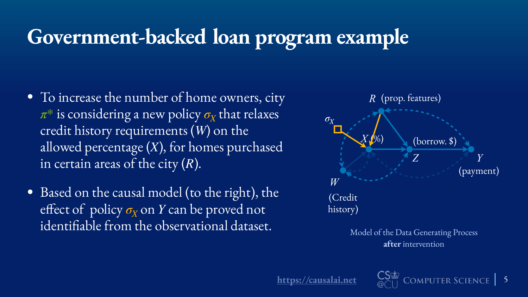CSE COMPUTER SCIENCE 5

## **Government-backed loan program example**

- To increase the number of home owners, city  $\pi^*$  is considering a new policy  $\sigma_X$  that relaxes credit history requirements (W) on the allowed percentage (X), for homes purchased in certain areas of the city  $(R)$ .
- Based on the causal model (to the right), the effect of policy σ<sub>*X*</sub> on *Y* can be proved not identifable from the observational dataset.



**after** intervention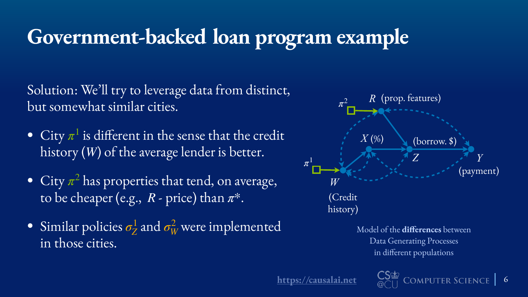CSE COMPUTER SCIENCE | 6



# **Government-backed loan program example**

Solution: We'll try to leverage data from distinct, but somewhat similar cities.

- City  $\pi^1$  is different in the sense that the credit history (W) of the average lender is better.
- City  $\pi^2$  has properties that tend, on average, to be cheaper (e.g.,  $R$  - price) than  $\pi^*$ .
- Similar policies  $\sigma_Z^1$  and  $\sigma_W^2$  were implemented in those cities.

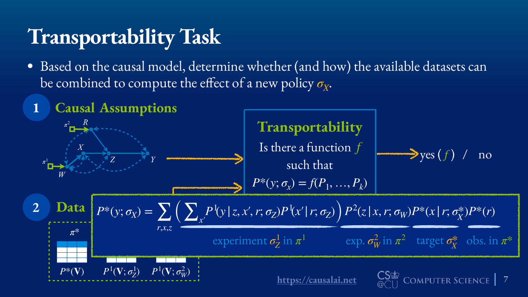

CSE COMPUTER SCIENCE | 7

## **Transportability Task**

# • Based on the causal model, determine whether (and how) the available datasets can

- be combined to compute the effect of a new policy  $\sigma_X$ .
- **Causal Assumptions 1**

**Transportability**  
\n
$$
\begin{array}{ccc}\nR \\
X \\
Z \\
Z \\
\end{array}
$$
\n
$$
\begin{array}{ccc}\nR \\
R \\
Z \\
\end{array}
$$
\n
$$
\begin{array}{ccc}\nR \\
R \\
R \\
\end{array}
$$
\n
$$
\begin{array}{ccc}\nR \\
R \\
R \\
\end{array}
$$
\n
$$
\begin{array}{ccc}\nR \\
R \\
R \\
\end{array}
$$
\n
$$
\begin{array}{ccc}\nR \\
R \\
\end{array}
$$
\n
$$
\begin{array}{ccc}\nR \\
R \\
\end{array}
$$
\n
$$
\begin{array}{ccc}\nR \\
R \\
\end{array}
$$
\n
$$
\begin{array}{ccc}\nR \\
R \\
\end{array}
$$
\n
$$
\begin{array}{ccc}\nR \\
R \\
\end{array}
$$
\n
$$
\begin{array}{ccc}\nR \\
R \\
\end{array}
$$
\n
$$
\begin{array}{ccc}\nR \\
R \\
\end{array}
$$
\n
$$
\begin{array}{ccc}\nR \\
R \\
\end{array}
$$
\n
$$
\begin{array}{ccc}\nR \\
R \\
\end{array}
$$
\n
$$
\begin{array}{ccc}\nR \\
R \\
\end{array}
$$
\n
$$
\begin{array}{ccc}\nR \\
R \\
\end{array}
$$
\n
$$
\begin{array}{ccc}\nR \\
R \\
\end{array}
$$
\n
$$
\begin{array}{ccc}\nR \\
R \\
\end{array}
$$
\n
$$
\begin{array}{ccc}\nR \\
R \\
\end{array}
$$
\n
$$
\begin{array}{ccc}\nR \\
R \\
\end{array}
$$
\n
$$
\begin{array}{ccc}\nR \\
R \\
\end{array}
$$
\n
$$
\begin{array}{ccc}\nR \\
R \\
\end{array}
$$
\n
$$
\begin{array}{ccc}\nR \\
R \\
\end{array}
$$
\n
$$
\begin{array}{ccc}\nR \\
R \\
\end{array}
$$
\n
$$
\begin{array}{ccc}\nR \\
R \\
\end{array}
$$
\n
$$
\begin{array}{ccc}\nR \\
R \\
\end{array}
$$
\n
$$
\begin{array}{ccc}\nR \\
R \\
\end{array}
$$
\n
$$
\begin{array}{ccc}\nR \\
R \\
\end{array}
$$
\n
$$
\begin{array}{ccc}\nR \\
R \\
\end{array}
$$
\n
$$
\begin{array}{ccc}\nR \\
R \\
$$

*Y*

*R*

*Z*

*W*

 $\pi_\perp^2$ 

 $\pi^1$ 



$$
\frac{1}{2} \left( y \mid z, x', r; \sigma_Z \right) P^1(x' \mid r; \sigma_Z) P^2(z \mid x, r; \sigma_W) P^*(x \mid r; \sigma_X^*) P^*(r)
$$
\n
$$
\text{experiment } \sigma_Z^1 \text{ in } \pi^1 \qquad \text{exp. } \sigma_W^2 \text{ in } \pi^2 \qquad \text{target } \sigma_X^* \quad \text{obs. in } \pi^*
$$